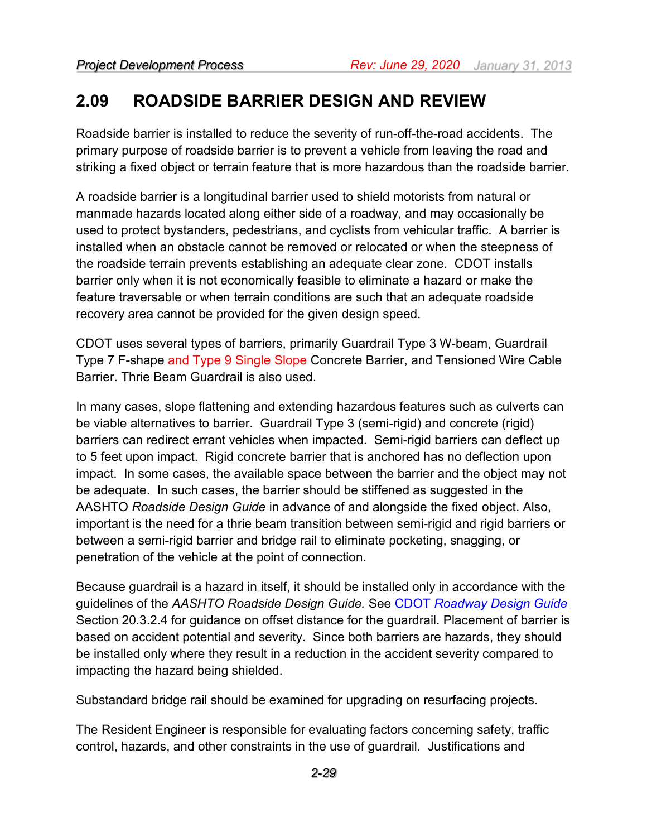## **2.09 ROADSIDE BARRIER DESIGN AND REVIEW**

Roadside barrier is installed to reduce the severity of run-off-the-road accidents. The primary purpose of roadside barrier is to prevent a vehicle from leaving the road and striking a fixed object or terrain feature that is more hazardous than the roadside barrier.

A roadside barrier is a longitudinal barrier used to shield motorists from natural or manmade hazards located along either side of a roadway, and may occasionally be used to protect bystanders, pedestrians, and cyclists from vehicular traffic. A barrier is installed when an obstacle cannot be removed or relocated or when the steepness of the roadside terrain prevents establishing an adequate clear zone. CDOT installs barrier only when it is not economically feasible to eliminate a hazard or make the feature traversable or when terrain conditions are such that an adequate roadside recovery area cannot be provided for the given design speed.

CDOT uses several types of barriers, primarily Guardrail Type 3 W-beam, Guardrail Type 7 F-shape and Type 9 Single Slope Concrete Barrier, and Tensioned Wire Cable Barrier. Thrie Beam Guardrail is also used.

In many cases, slope flattening and extending hazardous features such as culverts can be viable alternatives to barrier. Guardrail Type 3 (semi-rigid) and concrete (rigid) barriers can redirect errant vehicles when impacted. Semi-rigid barriers can deflect up to 5 feet upon impact. Rigid concrete barrier that is anchored has no deflection upon impact. In some cases, the available space between the barrier and the object may not be adequate. In such cases, the barrier should be stiffened as suggested in the AASHTO *Roadside Design Guide* in advance of and alongside the fixed object. Also, important is the need for a thrie beam transition between semi-rigid and rigid barriers or between a semi-rigid barrier and bridge rail to eliminate pocketing, snagging, or penetration of the vehicle at the point of connection.

Because guardrail is a hazard in itself, it should be installed only in accordance with the guidelines of the *AASHTO Roadside Design Guide.* See CDOT *[Roadway Design Guide](https://www.codot.gov/business/designsupport/bulletins_manuals/cdot-roadway-design-guide-2018)* Section 20.3.2.4 for guidance on offset distance for the guardrail. Placement of barrier is based on accident potential and severity. Since both barriers are hazards, they should be installed only where they result in a reduction in the accident severity compared to impacting the hazard being shielded.

Substandard bridge rail should be examined for upgrading on resurfacing projects.

The Resident Engineer is responsible for evaluating factors concerning safety, traffic control, hazards, and other constraints in the use of guardrail. Justifications and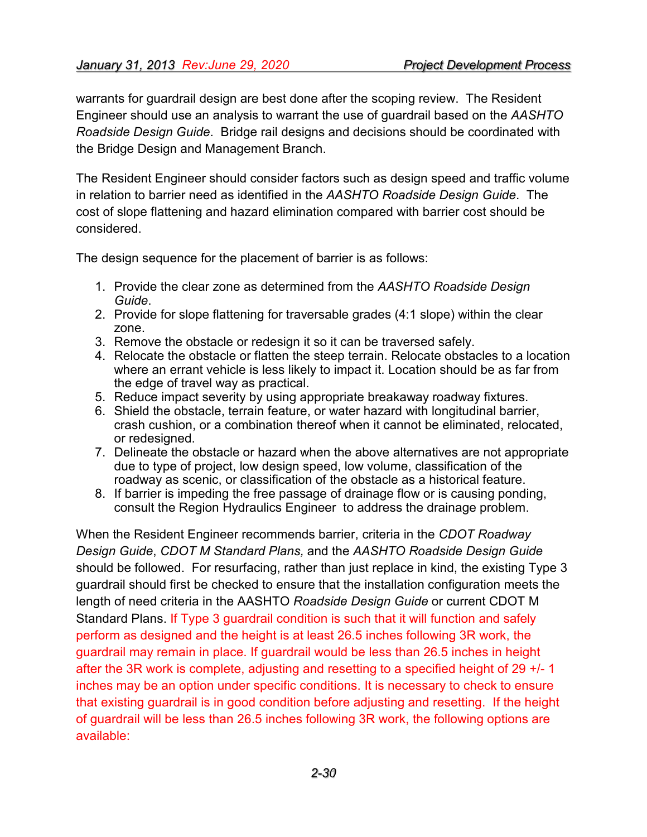warrants for guardrail design are best done after the scoping review. The Resident Engineer should use an analysis to warrant the use of guardrail based on the *AASHTO Roadside Design Guide*. Bridge rail designs and decisions should be coordinated with the Bridge Design and Management Branch.

The Resident Engineer should consider factors such as design speed and traffic volume in relation to barrier need as identified in the *AASHTO Roadside Design Guide*. The cost of slope flattening and hazard elimination compared with barrier cost should be considered.

The design sequence for the placement of barrier is as follows:

- 1. Provide the clear zone as determined from the *AASHTO Roadside Design Guide*.
- 2. Provide for slope flattening for traversable grades (4:1 slope) within the clear zone.
- 3. Remove the obstacle or redesign it so it can be traversed safely.
- 4. Relocate the obstacle or flatten the steep terrain. Relocate obstacles to a location where an errant vehicle is less likely to impact it. Location should be as far from the edge of travel way as practical.
- 5. Reduce impact severity by using appropriate breakaway roadway fixtures.
- 6. Shield the obstacle, terrain feature, or water hazard with longitudinal barrier, crash cushion, or a combination thereof when it cannot be eliminated, relocated, or redesigned.
- 7. Delineate the obstacle or hazard when the above alternatives are not appropriate due to type of project, low design speed, low volume, classification of the roadway as scenic, or classification of the obstacle as a historical feature.
- 8. If barrier is impeding the free passage of drainage flow or is causing ponding, consult the Region Hydraulics Engineer to address the drainage problem.

When the Resident Engineer recommends barrier, criteria in the *CDOT Roadway Design Guide*, *CDOT M Standard Plans,* and the *AASHTO Roadside Design Guide* should be followed. For resurfacing, rather than just replace in kind, the existing Type 3 guardrail should first be checked to ensure that the installation configuration meets the length of need criteria in the AASHTO *Roadside Design Guide* or current CDOT M Standard Plans. If Type 3 guardrail condition is such that it will function and safely perform as designed and the height is at least 26.5 inches following 3R work, the guardrail may remain in place. If guardrail would be less than 26.5 inches in height after the 3R work is complete, adjusting and resetting to a specified height of 29 +/- 1 inches may be an option under specific conditions. It is necessary to check to ensure that existing guardrail is in good condition before adjusting and resetting. If the height of guardrail will be less than 26.5 inches following 3R work, the following options are available: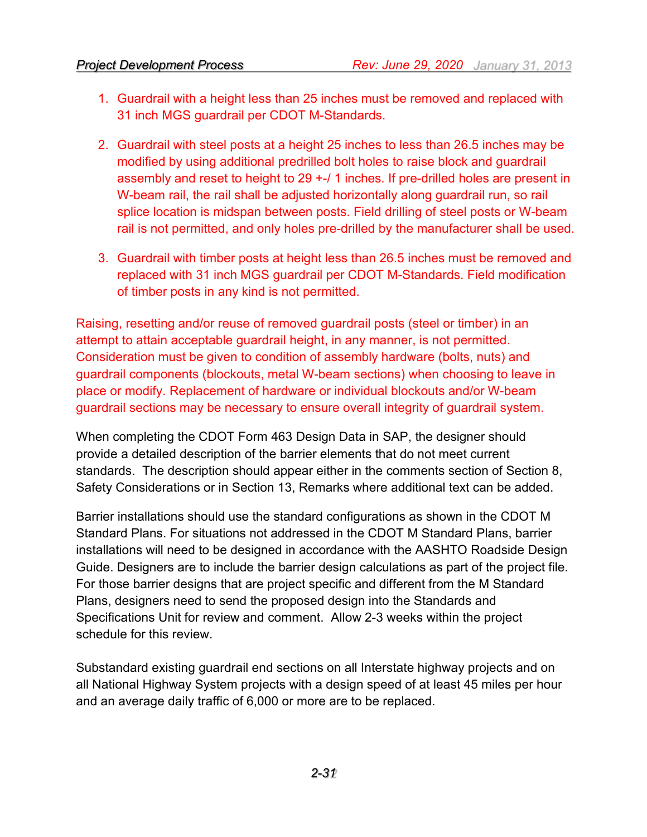- 1. Guardrail with a height less than 25 inches must be removed and replaced with 31 inch MGS guardrail per CDOT M-Standards.
- 2. Guardrail with steel posts at a height 25 inches to less than 26.5 inches may be modified by using additional predrilled bolt holes to raise block and guardrail assembly and reset to height to 29 +-/ 1 inches. If pre-drilled holes are present in W-beam rail, the rail shall be adjusted horizontally along guardrail run, so rail splice location is midspan between posts. Field drilling of steel posts or W-beam rail is not permitted, and only holes pre-drilled by the manufacturer shall be used.
- 3. Guardrail with timber posts at height less than 26.5 inches must be removed and replaced with 31 inch MGS guardrail per CDOT M-Standards. Field modification of timber posts in any kind is not permitted.

Raising, resetting and/or reuse of removed guardrail posts (steel or timber) in an attempt to attain acceptable guardrail height, in any manner, is not permitted. Consideration must be given to condition of assembly hardware (bolts, nuts) and guardrail components (blockouts, metal W-beam sections) when choosing to leave in place or modify. Replacement of hardware or individual blockouts and/or W-beam guardrail sections may be necessary to ensure overall integrity of guardrail system.

When completing the CDOT Form 463 Design Data in SAP, the designer should provide a detailed description of the barrier elements that do not meet current standards. The description should appear either in the comments section of Section 8, Safety Considerations or in Section 13, Remarks where additional text can be added.

Barrier installations should use the standard configurations as shown in the CDOT M Standard Plans. For situations not addressed in the CDOT M Standard Plans, barrier installations will need to be designed in accordance with the AASHTO Roadside Design Guide. Designers are to include the barrier design calculations as part of the project file. For those barrier designs that are project specific and different from the M Standard Plans, designers need to send the proposed design into the Standards and Specifications Unit for review and comment. Allow 2-3 weeks within the project schedule for this review.

Substandard existing guardrail end sections on all Interstate highway projects and on all National Highway System projects with a design speed of at least 45 miles per hour and an average daily traffic of 6,000 or more are to be replaced.